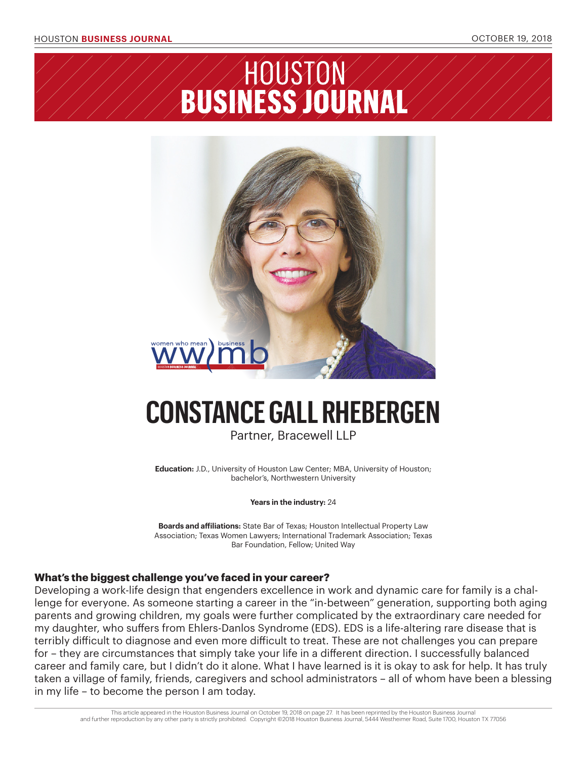## HOUSTO BUSÍN TRN  $\boldsymbol{\Lambda}$



# **CONSTANCE GALL RHEBERGEN**

Partner, Bracewell LLP

**Education:** J.D., University of Houston Law Center; MBA, University of Houston; bachelor's, Northwestern University

#### **Years in the industry:** 24

**Boards and affiliations:** State Bar of Texas; Houston Intellectual Property Law Association; Texas Women Lawyers; International Trademark Association; Texas Bar Foundation, Fellow; United Way

### **What's the biggest challenge you've faced in your career?**

Developing a work-life design that engenders excellence in work and dynamic care for family is a challenge for everyone. As someone starting a career in the "in-between" generation, supporting both aging parents and growing children, my goals were further complicated by the extraordinary care needed for my daughter, who suffers from Ehlers-Danlos Syndrome (EDS). EDS is a life-altering rare disease that is terribly difficult to diagnose and even more difficult to treat. These are not challenges you can prepare for – they are circumstances that simply take your life in a different direction. I successfully balanced career and family care, but I didn't do it alone. What I have learned is it is okay to ask for help. It has truly taken a village of family, friends, caregivers and school administrators – all of whom have been a blessing in my life – to become the person I am today.